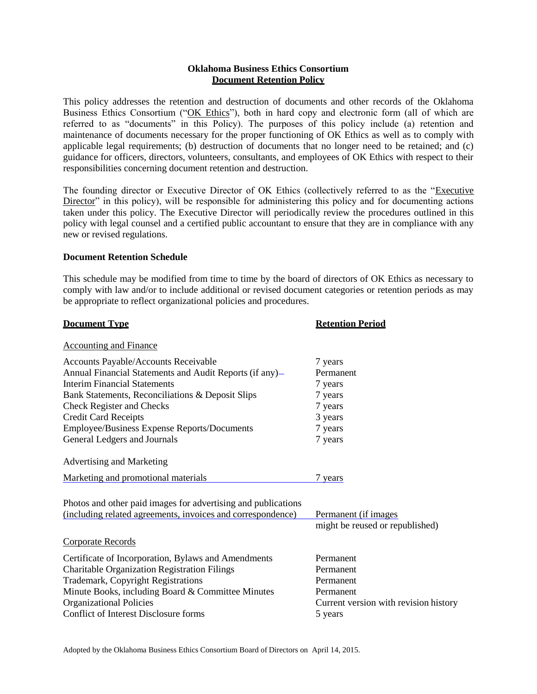# **Oklahoma Business Ethics Consortium Document Retention Policy**

This policy addresses the retention and destruction of documents and other records of the Oklahoma Business Ethics Consortium ("OK Ethics"), both in hard copy and electronic form (all of which are referred to as "documents" in this Policy). The purposes of this policy include (a) retention and maintenance of documents necessary for the proper functioning of OK Ethics as well as to comply with applicable legal requirements; (b) destruction of documents that no longer need to be retained; and (c) guidance for officers, directors, volunteers, consultants, and employees of OK Ethics with respect to their responsibilities concerning document retention and destruction.

The founding director or Executive Director of OK Ethics (collectively referred to as the "Executive Director" in this policy), will be responsible for administering this policy and for documenting actions taken under this policy. The Executive Director will periodically review the procedures outlined in this policy with legal counsel and a certified public accountant to ensure that they are in compliance with any new or revised regulations.

## **Document Retention Schedule**

This schedule may be modified from time to time by the board of directors of OK Ethics as necessary to comply with law and/or to include additional or revised document categories or retention periods as may be appropriate to reflect organizational policies and procedures.

| <b>Document Type</b>                                          | <b>Retention Period</b>               |
|---------------------------------------------------------------|---------------------------------------|
| <b>Accounting and Finance</b>                                 |                                       |
| Accounts Payable/Accounts Receivable                          | 7 years                               |
| Annual Financial Statements and Audit Reports (if any)-       | Permanent                             |
| <b>Interim Financial Statements</b>                           | 7 years                               |
| Bank Statements, Reconciliations & Deposit Slips              | 7 years                               |
| <b>Check Register and Checks</b>                              | 7 years                               |
| <b>Credit Card Receipts</b>                                   | 3 years                               |
| Employee/Business Expense Reports/Documents                   | 7 years                               |
| General Ledgers and Journals                                  | 7 years                               |
| Advertising and Marketing                                     |                                       |
| Marketing and promotional materials                           | 7 years                               |
| Photos and other paid images for advertising and publications |                                       |
| (including related agreements, invoices and correspondence)   | Permanent (if images                  |
|                                                               | might be reused or republished)       |
| <b>Corporate Records</b>                                      |                                       |
| Certificate of Incorporation, Bylaws and Amendments           | Permanent                             |
| <b>Charitable Organization Registration Filings</b>           | Permanent                             |
| Trademark, Copyright Registrations                            | Permanent                             |
| Minute Books, including Board & Committee Minutes             | Permanent                             |
| <b>Organizational Policies</b>                                | Current version with revision history |
| Conflict of Interest Disclosure forms                         | 5 years                               |
|                                                               |                                       |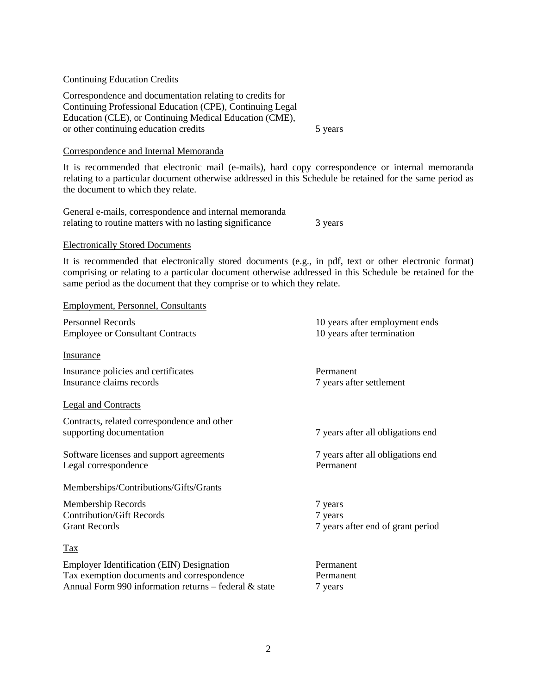## Continuing Education Credits

Correspondence and documentation relating to credits for Continuing Professional Education (CPE), Continuing Legal Education (CLE), or Continuing Medical Education (CME), or other continuing education credits 5 years

## Correspondence and Internal Memoranda

It is recommended that electronic mail (e-mails), hard copy correspondence or internal memoranda relating to a particular document otherwise addressed in this Schedule be retained for the same period as the document to which they relate.

General e-mails, correspondence and internal memoranda relating to routine matters with no lasting significance 3 years

## Electronically Stored Documents

It is recommended that electronically stored documents (e.g., in pdf, text or other electronic format) comprising or relating to a particular document otherwise addressed in this Schedule be retained for the same period as the document that they comprise or to which they relate.

## Employment, Personnel, Consultants

| <b>Personnel Records</b>                              | 10 years after employment ends    |
|-------------------------------------------------------|-----------------------------------|
| <b>Employee or Consultant Contracts</b>               | 10 years after termination        |
|                                                       |                                   |
| <b>Insurance</b>                                      |                                   |
| Insurance policies and certificates                   | Permanent                         |
| Insurance claims records                              | 7 years after settlement          |
|                                                       |                                   |
| <b>Legal and Contracts</b>                            |                                   |
| Contracts, related correspondence and other           |                                   |
| supporting documentation                              | 7 years after all obligations end |
|                                                       |                                   |
| Software licenses and support agreements              | 7 years after all obligations end |
| Legal correspondence                                  | Permanent                         |
| Memberships/Contributions/Gifts/Grants                |                                   |
|                                                       |                                   |
| Membership Records                                    | 7 years                           |
| <b>Contribution/Gift Records</b>                      | 7 years                           |
| <b>Grant Records</b>                                  | 7 years after end of grant period |
| $\frac{\text{Tax}}{\text{c}}$                         |                                   |
|                                                       |                                   |
| <b>Employer Identification (EIN) Designation</b>      | Permanent                         |
| Tax exemption documents and correspondence            | Permanent                         |
| Annual Form 990 information returns - federal & state | 7 years                           |